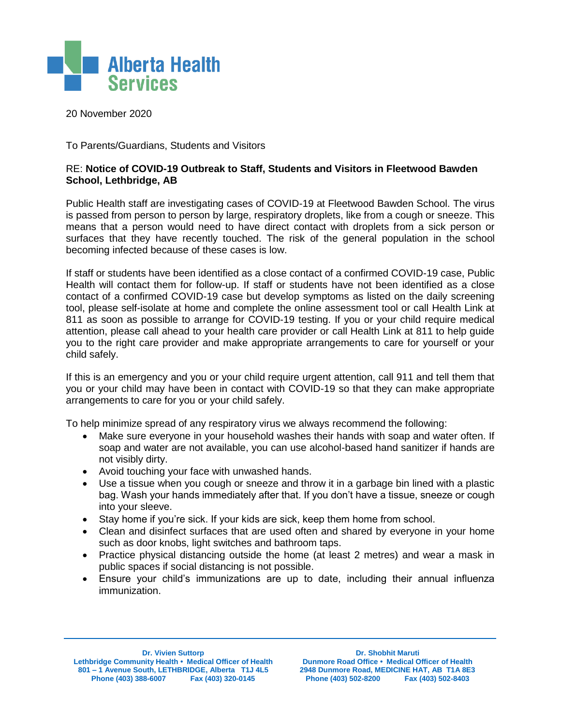

20 November 2020

To Parents/Guardians, Students and Visitors

## RE: **Notice of COVID-19 Outbreak to Staff, Students and Visitors in Fleetwood Bawden School, Lethbridge, AB**

Public Health staff are investigating cases of COVID-19 at Fleetwood Bawden School. The virus is passed from person to person by large, respiratory droplets, like from a cough or sneeze. This means that a person would need to have direct contact with droplets from a sick person or surfaces that they have recently touched. The risk of the general population in the school becoming infected because of these cases is low.

If staff or students have been identified as a close contact of a confirmed COVID-19 case, Public Health will contact them for follow-up. If staff or students have not been identified as a close contact of a confirmed COVID-19 case but develop symptoms as listed on the daily screening tool, please self-isolate at home and complete the online assessment tool or call Health Link at 811 as soon as possible to arrange for COVID-19 testing. If you or your child require medical attention, please call ahead to your health care provider or call Health Link at 811 to help guide you to the right care provider and make appropriate arrangements to care for yourself or your child safely.

If this is an emergency and you or your child require urgent attention, call 911 and tell them that you or your child may have been in contact with COVID-19 so that they can make appropriate arrangements to care for you or your child safely.

To help minimize spread of any respiratory virus we always recommend the following:

- Make sure everyone in your household washes their hands with soap and water often. If soap and water are not available, you can use alcohol-based hand sanitizer if hands are not visibly dirty.
- Avoid touching your face with unwashed hands.
- Use a tissue when you cough or sneeze and throw it in a garbage bin lined with a plastic bag. Wash your hands immediately after that. If you don't have a tissue, sneeze or cough into your sleeve.
- Stay home if you're sick. If your kids are sick, keep them home from school.
- Clean and disinfect surfaces that are used often and shared by everyone in your home such as door knobs, light switches and bathroom taps.
- Practice physical distancing outside the home (at least 2 metres) and wear a mask in public spaces if social distancing is not possible.
- Ensure your child's immunizations are up to date, including their annual influenza immunization.